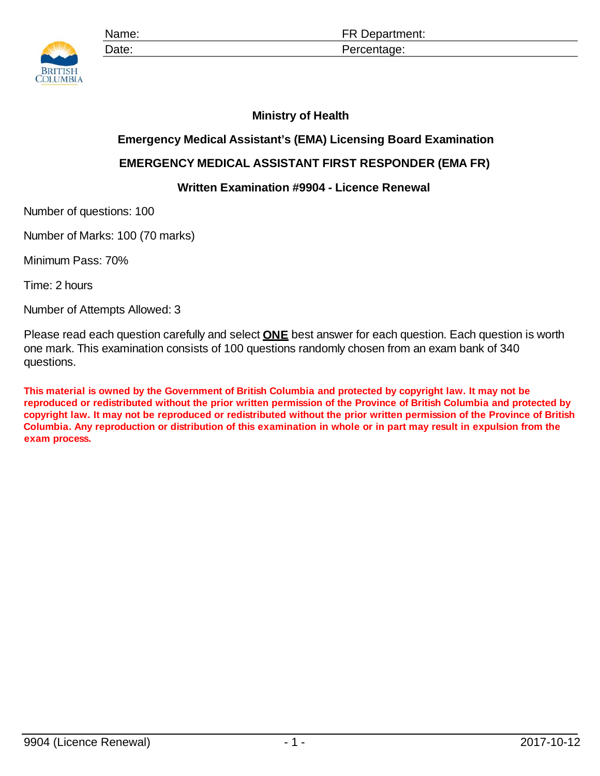

## **Ministry of Health**

## **Emergency Medical Assistant's (EMA) Licensing Board Examination**

## **EMERGENCY MEDICAL ASSISTANT FIRST RESPONDER (EMA FR)**

## **Written Examination #9904 - Licence Renewal**

Number of questions: 100

Number of Marks: 100 (70 marks)

Minimum Pass: 70%

Time: 2 hours

Number of Attempts Allowed: 3

Please read each question carefully and select **ONE** best answer for each question. Each question is worth one mark. This examination consists of 100 questions randomly chosen from an exam bank of 340 questions.

**This material is owned by the Government of British Columbia and protected by copyright law. It may not be reproduced or redistributed without the prior written permission of the Province of British Columbia and protected by copyright law. It may not be reproduced or redistributed without the prior written permission of the Province of British Columbia. Any reproduction or distribution of this examination in whole or in part may result in expulsion from the exam process.**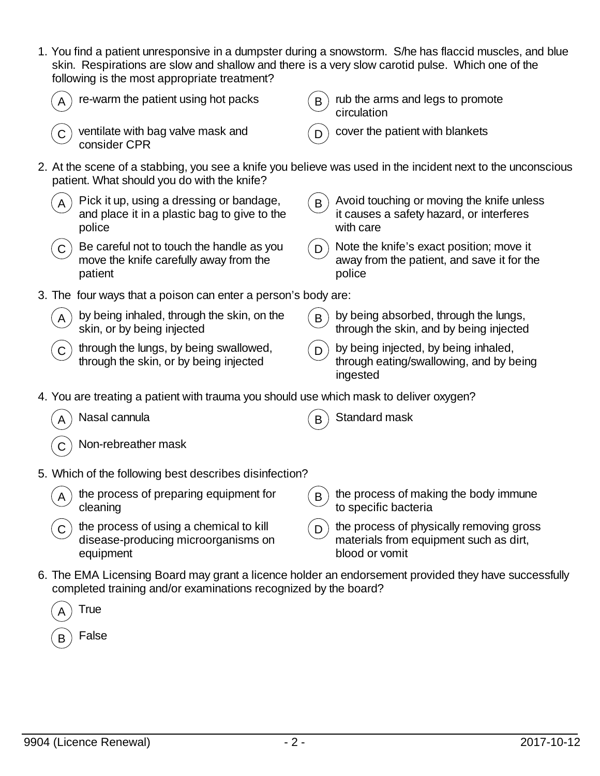1. You find a patient unresponsive in a dumpster during a snowstorm. S/he has flaccid muscles, and blue skin. Respirations are slow and shallow and there is a very slow carotid pulse. Which one of the following is the most appropriate treatment?

|             | re-warm the patient using hot packs                                                                | B            | rub the arms and legs to promote<br>circulation                                                             |
|-------------|----------------------------------------------------------------------------------------------------|--------------|-------------------------------------------------------------------------------------------------------------|
|             | ventilate with bag valve mask and<br>consider CPR                                                  |              | cover the patient with blankets                                                                             |
|             | patient. What should you do with the knife?                                                        |              | 2. At the scene of a stabbing, you see a knife you believe was used in the incident next to the unconscious |
|             | Pick it up, using a dressing or bandage,<br>and place it in a plastic bag to give to the<br>police | $\mathsf{B}$ | Avoid touching or moving the knife unless<br>it causes a safety hazard, or interferes<br>with care          |
|             | Be careful not to touch the handle as you<br>move the knife carefully away from the<br>patient     | D            | Note the knife's exact position; move it<br>away from the patient, and save it for the<br>police            |
|             | 3. The four ways that a poison can enter a person's body are:                                      |              |                                                                                                             |
| A           | by being inhaled, through the skin, on the<br>skin, or by being injected                           | $\sf B$      | by being absorbed, through the lungs,<br>through the skin, and by being injected                            |
|             | through the lungs, by being swallowed,<br>through the skin, or by being injected                   | D            | by being injected, by being inhaled,<br>through eating/swallowing, and by being<br>ingested                 |
|             | 4. You are treating a patient with trauma you should use which mask to deliver oxygen?             |              |                                                                                                             |
|             | Nasal cannula                                                                                      |              | Standard mask                                                                                               |
|             | Non-rebreather mask                                                                                |              |                                                                                                             |
|             | 5. Which of the following best describes disinfection?                                             |              |                                                                                                             |
|             | the process of preparing equipment for<br>cleaning                                                 | $\mathsf{B}$ | the process of making the body immune<br>to specific bacteria                                               |
| $\mathsf C$ | the process of using a chemical to kill<br>disease-producing microorganisms on<br>equipment        | $\mathsf{D}$ | the process of physically removing gross<br>materials from equipment such as dirt,<br>blood or vomit        |
|             | completed training and/or examinations recognized by the board?                                    |              | 6. The EMA Licensing Board may grant a licence holder an endorsement provided they have successfully        |
|             | True                                                                                               |              |                                                                                                             |
|             | False                                                                                              |              |                                                                                                             |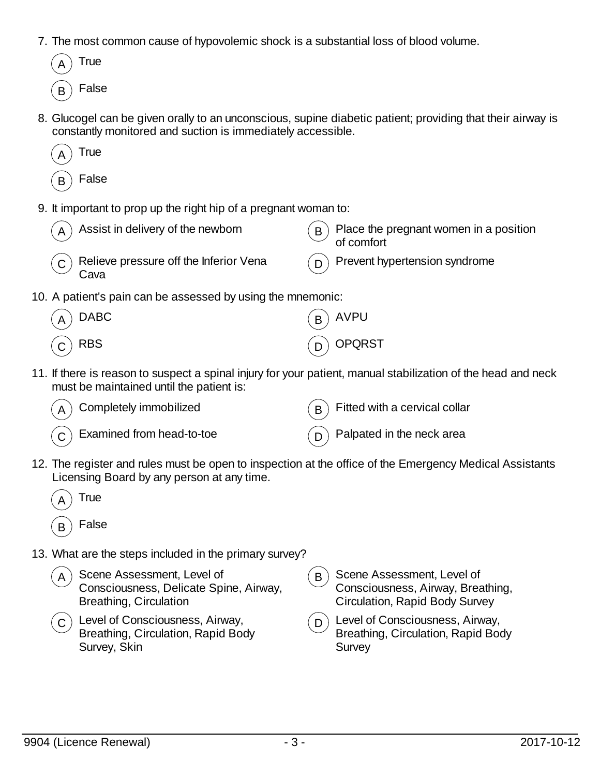7. The most common cause of hypovolemic shock is a substantial loss of blood volume.



8. Glucogel can be given orally to an unconscious, supine diabetic patient; providing that their airway is constantly monitored and suction is immediately accessible.



9. It important to prop up the right hip of a pregnant woman to:

| Assist in delivery of the newborn<br>$\overline{A}$           | Place the pregnant women in a position<br>B<br>of comfort |
|---------------------------------------------------------------|-----------------------------------------------------------|
| Relieve pressure off the Inferior Vena<br>$\mathsf C$<br>Cava | Prevent hypertension syndrome                             |
| 10. A patient's pain can be assessed by using the mnemonic:   |                                                           |
| <b>DABC</b><br>A                                              | <b>AVPU</b><br>B                                          |
| <b>RBS</b>                                                    | <b>OPQRST</b>                                             |

11. If there is reason to suspect a spinal injury for your patient, manual stabilization of the head and neck must be maintained until the patient is:



12. The register and rules must be open to inspection at the office of the Emergency Medical Assistants Licensing Board by any person at any time.

| А | True  |
|---|-------|
| н | False |

13. What are the steps included in the primary survey?

| A | Scene Assessment, Level of<br>Consciousness, Delicate Spine, Airway,<br>Breathing, Circulation       |     | $\mathbf{F}_{\mathbf{B}}$ Scene Assessment, Level of<br>Consciousness, Airway, Breathing,<br><b>Circulation, Rapid Body Survey</b> |
|---|------------------------------------------------------------------------------------------------------|-----|------------------------------------------------------------------------------------------------------------------------------------|
|   | $(\mathsf{c})$ Level of Consciousness, Airway,<br>Breathing, Circulation, Rapid Body<br>Survey, Skin | (n) | Level of Consciousness, Airway,<br>Breathing, Circulation, Rapid Body<br>Survey                                                    |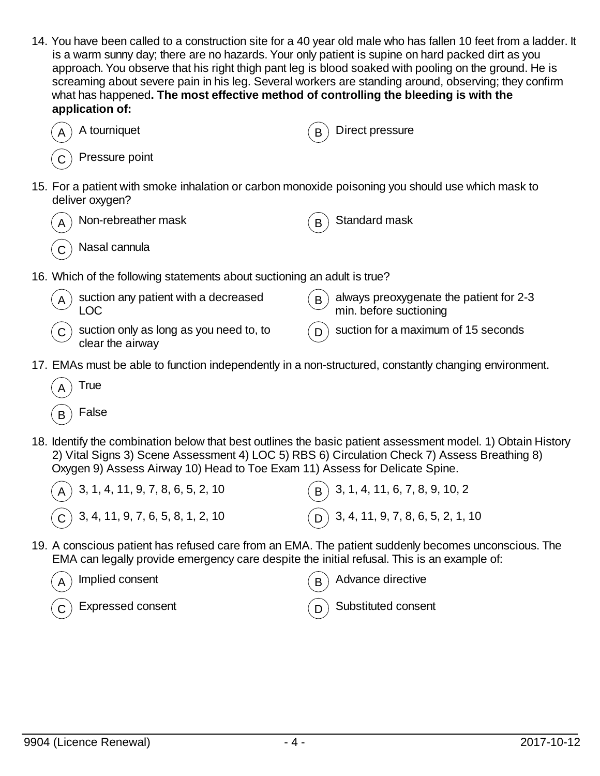14. You have been called to a construction site for a 40 year old male who has fallen 10 feet from a ladder. It is a warm sunny day; there are no hazards. Your only patient is supine on hard packed dirt as you approach. You observe that his right thigh pant leg is blood soaked with pooling on the ground. He is screaming about severe pain in his leg. Several workers are standing around, observing; they confirm what has happened**. The most effective method of controlling the bleeding is with the application of:**





16. Which of the following statements about suctioning an adult is true?

| $\begin{pmatrix} A \end{pmatrix}$ suction any patient with a decreased<br>LOC | $\left(\frac{B}{B}\right)$ always preoxygenate the patient for 2-3 min. before suctioning |
|-------------------------------------------------------------------------------|-------------------------------------------------------------------------------------------|
| $\overline{C}$ suction only as long as you need to, to clear the airway       | $($ D $)$ suction for a maximum of 15 seconds                                             |

17. EMAs must be able to function independently in a non-structured, constantly changing environment.

| True  |
|-------|
| False |

18. Identify the combination below that best outlines the basic patient assessment model. 1) Obtain History 2) Vital Signs 3) Scene Assessment 4) LOC 5) RBS 6) Circulation Check 7) Assess Breathing 8) Oxygen 9) Assess Airway 10) Head to Toe Exam 11) Assess for Delicate Spine.

| $(A)$ 3, 1, 4, 11, 9, 7, 8, 6, 5, 2, 10                                                   | $\binom{1}{1}$ 3, 1, 4, 11, 6, 7, 8, 9, 10, 2 |
|-------------------------------------------------------------------------------------------|-----------------------------------------------|
| $\left(\begin{matrix} \overline{C} \end{matrix}\right)$ 3, 4, 11, 9, 7, 6, 5, 8, 1, 2, 10 | $(D)$ 3, 4, 11, 9, 7, 8, 6, 5, 2, 1, 10       |

19. A conscious patient has refused care from an EMA. The patient suddenly becomes unconscious. The EMA can legally provide emergency care despite the initial refusal. This is an example of:

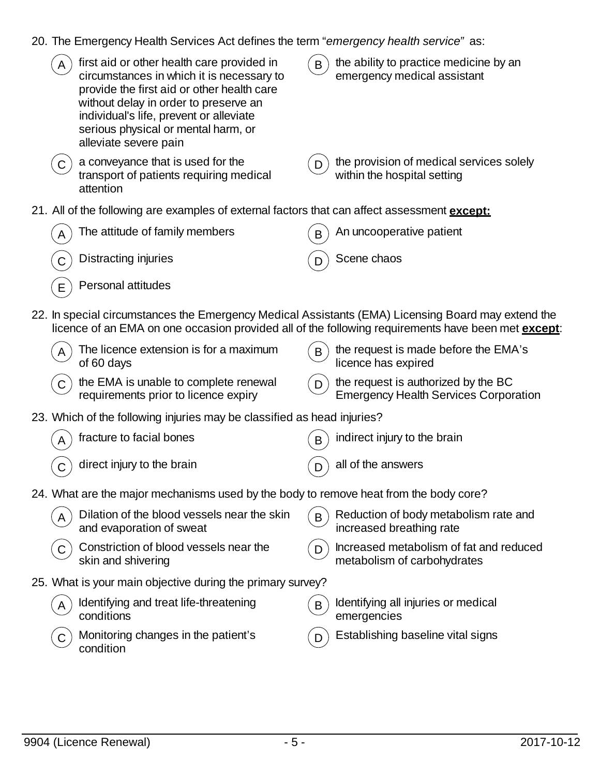20. The Emergency Health Services Act defines the term "*emergency health service"* as:

|              | first aid or other health care provided in<br>circumstances in which it is necessary to<br>provide the first aid or other health care<br>without delay in order to preserve an<br>individual's life, prevent or alleviate<br>serious physical or mental harm, or<br>alleviate severe pain | $\mathsf{B}$ | the ability to practice medicine by an<br>emergency medical assistant                                      |
|--------------|-------------------------------------------------------------------------------------------------------------------------------------------------------------------------------------------------------------------------------------------------------------------------------------------|--------------|------------------------------------------------------------------------------------------------------------|
| $\mathsf{C}$ | a conveyance that is used for the<br>transport of patients requiring medical<br>attention                                                                                                                                                                                                 | D            | the provision of medical services solely<br>within the hospital setting                                    |
|              | 21. All of the following are examples of external factors that can affect assessment <i>except:</i>                                                                                                                                                                                       |              |                                                                                                            |
|              | The attitude of family members                                                                                                                                                                                                                                                            | B            | An uncooperative patient                                                                                   |
|              | Distracting injuries                                                                                                                                                                                                                                                                      | D            | Scene chaos                                                                                                |
| E            | Personal attitudes                                                                                                                                                                                                                                                                        |              |                                                                                                            |
|              | 22. In special circumstances the Emergency Medical Assistants (EMA) Licensing Board may extend the                                                                                                                                                                                        |              | licence of an EMA on one occasion provided all of the following requirements have been met <b>except</b> : |
|              | The licence extension is for a maximum<br>of 60 days                                                                                                                                                                                                                                      | $\mathsf{B}$ | the request is made before the EMA's<br>licence has expired                                                |
| C.           | the EMA is unable to complete renewal<br>requirements prior to licence expiry                                                                                                                                                                                                             | D            | the request is authorized by the BC<br><b>Emergency Health Services Corporation</b>                        |
|              | 23. Which of the following injuries may be classified as head injuries?                                                                                                                                                                                                                   |              |                                                                                                            |
|              | fracture to facial bones                                                                                                                                                                                                                                                                  | B            | indirect injury to the brain                                                                               |
|              | direct injury to the brain                                                                                                                                                                                                                                                                | D            | all of the answers                                                                                         |
|              | 24. What are the major mechanisms used by the body to remove heat from the body core?                                                                                                                                                                                                     |              |                                                                                                            |
|              | Dilation of the blood vessels near the skin<br>and evaporation of sweat                                                                                                                                                                                                                   | $\mathbf{B}$ | Reduction of body metabolism rate and<br>increased breathing rate                                          |
|              | Constriction of blood vessels near the<br>skin and shivering                                                                                                                                                                                                                              | D            | Increased metabolism of fat and reduced<br>metabolism of carbohydrates                                     |
|              | 25. What is your main objective during the primary survey?                                                                                                                                                                                                                                |              |                                                                                                            |
| A            | Identifying and treat life-threatening<br>conditions                                                                                                                                                                                                                                      | $\mathsf{B}$ | Identifying all injuries or medical<br>emergencies                                                         |
|              | Monitoring changes in the patient's<br>condition                                                                                                                                                                                                                                          | D            | Establishing baseline vital signs                                                                          |
|              |                                                                                                                                                                                                                                                                                           |              |                                                                                                            |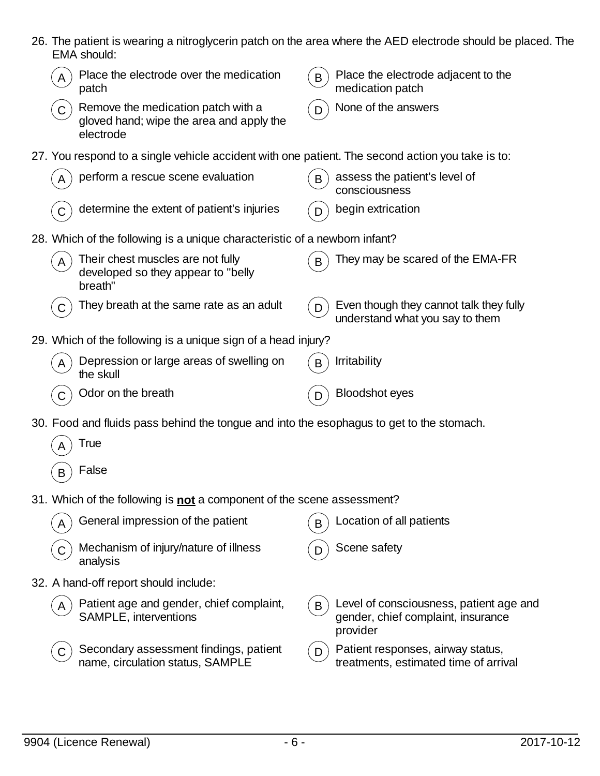| 26. The patient is wearing a nitroglycerin patch on the area where the AED electrode should be placed. The |  |
|------------------------------------------------------------------------------------------------------------|--|
| EMA should:                                                                                                |  |

|             | Place the electrode over the medication<br>patch                                                 | B | Place the electrode adjacent to the<br>medication patch                                   |
|-------------|--------------------------------------------------------------------------------------------------|---|-------------------------------------------------------------------------------------------|
| $\mathsf C$ | Remove the medication patch with a<br>gloved hand; wipe the area and apply the<br>electrode      | D | None of the answers                                                                       |
|             | 27. You respond to a single vehicle accident with one patient. The second action you take is to: |   |                                                                                           |
|             | perform a rescue scene evaluation                                                                | B | assess the patient's level of<br>consciousness                                            |
|             | determine the extent of patient's injuries                                                       |   | begin extrication                                                                         |
|             | 28. Which of the following is a unique characteristic of a newborn infant?                       |   |                                                                                           |
| A           | Their chest muscles are not fully<br>developed so they appear to "belly<br>breath"               | B | They may be scared of the EMA-FR                                                          |
| C           | They breath at the same rate as an adult                                                         | D | Even though they cannot talk they fully<br>understand what you say to them                |
|             | 29. Which of the following is a unique sign of a head injury?                                    |   |                                                                                           |
| A           | Depression or large areas of swelling on<br>the skull                                            | B | <b>Irritability</b>                                                                       |
|             | Odor on the breath                                                                               |   | <b>Bloodshot eyes</b>                                                                     |
|             | 30. Food and fluids pass behind the tongue and into the esophagus to get to the stomach.         |   |                                                                                           |
| A           | <b>True</b>                                                                                      |   |                                                                                           |
| B           | False                                                                                            |   |                                                                                           |
|             | 31. Which of the following is <b>not</b> a component of the scene assessment?                    |   |                                                                                           |
|             | General impression of the patient                                                                | B | Location of all patients                                                                  |
| С           | Mechanism of injury/nature of illness<br>analysis                                                |   | Scene safety                                                                              |
|             | 32. A hand-off report should include:                                                            |   |                                                                                           |
| A           | Patient age and gender, chief complaint,<br>SAMPLE, interventions                                | B | Level of consciousness, patient age and<br>gender, chief complaint, insurance<br>provider |
| C           | Secondary assessment findings, patient<br>name, circulation status, SAMPLE                       | D | Patient responses, airway status,<br>treatments, estimated time of arrival                |
|             |                                                                                                  |   |                                                                                           |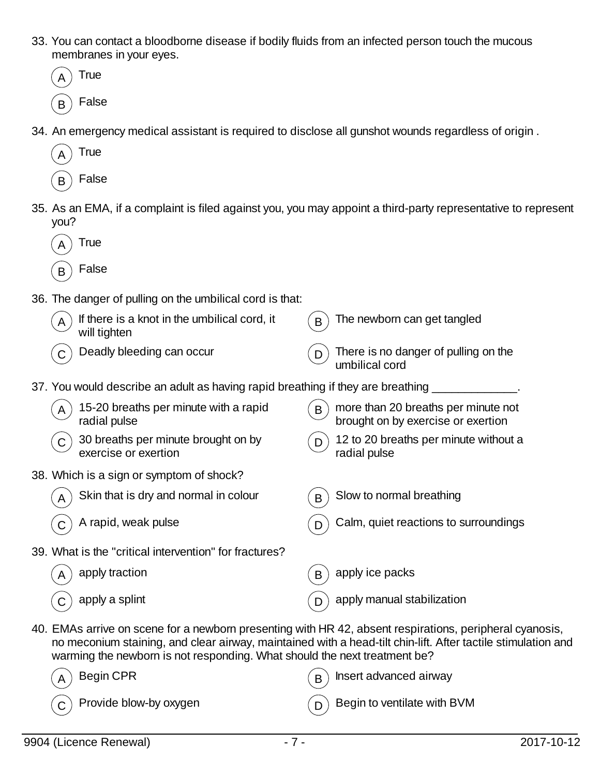- 33. You can contact a bloodborne disease if bodily fluids from an infected person touch the mucous membranes in your eyes.
	- **True**  $B$  False

**True** 

- 34. An emergency medical assistant is required to disclose all gunshot wounds regardless of origin .
- **False** 35. As an EMA, if a complaint is filed against you, you may appoint a third-party representative to represent you?  $_A$ ) True  $_B$  False 36. The danger of pulling on the umbilical cord is that: If there is a knot in the umbilical cord, it will tighten  $B$  The newborn can get tangled  $(C)$  Deadly bleeding can occur  $(D)$  There is no danger of pulling on the umbilical cord 37. You would describe an adult as having rapid breathing if they are breathing 15-20 breaths per minute with a rapid radial pulse  $B$ ) more than 20 breaths per minute not brought on by exercise or exertion  $(C)$  30 breaths per minute brought on by exercise or exertion  $(D)$  12 to 20 breaths per minute without a radial pulse 38. Which is a sign or symptom of shock? Skin that is dry and normal in colour  $(B)$  Slow to normal breathing C A rapid, weak pulse D Calm, quiet reactions to surroundings 39. What is the "critical intervention" for fractures? apply traction  $\mathbb{R}$  apply ice packs  $\overline{C}$  apply a splint  $\overline{D}$  apply manual stabilization 40. EMAs arrive on scene for a newborn presenting with HR 42, absent respirations, peripheral cyanosis,
- no meconium staining, and clear airway, maintained with a head-tilt chin-lift. After tactile stimulation and warming the newborn is not responding. What should the next treatment be?

| $\left(\widehat{\bm{\mathsf{A}}}\right)$ Begin CPR                  | $(B)$ Insert advanced airway               |
|---------------------------------------------------------------------|--------------------------------------------|
| $\left(\begin{matrix} 0 \end{matrix}\right)$ Provide blow-by oxygen | $\binom{1}{D}$ Begin to ventilate with BVM |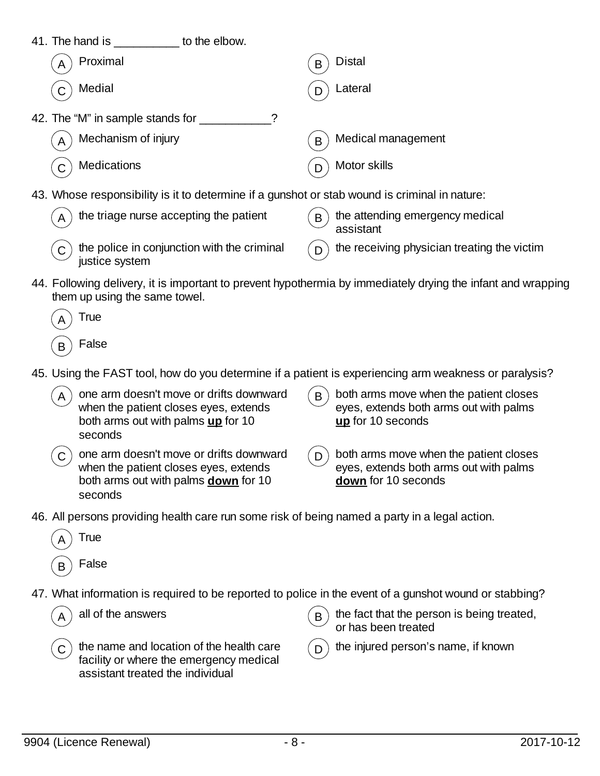| 41. The hand is<br>to the elbow.                                                               |                    |
|------------------------------------------------------------------------------------------------|--------------------|
| Proximal                                                                                       | <b>Distal</b>      |
| A                                                                                              | B                  |
| Medial                                                                                         | Lateral            |
| $\mathsf{C}$                                                                                   | D                  |
| 42. The "M" in sample stands for                                                               |                    |
| Mechanism of injury                                                                            | Medical management |
| $\mathsf{A}$                                                                                   | B                  |
| Medications                                                                                    | Motor skills       |
| $\mathsf{C}$                                                                                   | D                  |
| (a) Illhoos recononcipii in it to determine if a queebet or stab we und is eximinal in noture: |                    |

- 43. Whose responsibility is it to determine if a gunshot or stab wound is criminal in nature:
	- the triage nurse accepting the patient  $\mathbf{B}$  the attending emergency medical assistant the police in conjunction with the criminal justice system the receiving physician treating the victim
- 44. Following delivery, it is important to prevent hypothermia by immediately drying the infant and wrapping them up using the same towel.

| A | True  |
|---|-------|
| в | False |

- 45. Using the FAST tool, how do you determine if a patient is experiencing arm weakness or paralysis?
	- one arm doesn't move or drifts downward when the patient closes eyes, extends both arms out with palms **up** for 10 seconds
- 
- both arms move when the patient closes eyes, extends both arms out with palms **up** for 10 seconds
- $(C)$  one arm doesn't move or drifts downward when the patient closes eyes, extends both arms out with palms **down** for 10 seconds
- $(D)$  both arms move when the patient closes eyes, extends both arms out with palms **down** for 10 seconds
- 46. All persons providing health care run some risk of being named a party in a legal action.
	- **True False**
- 47. What information is required to be reported to police in the event of a gunshot wound or stabbing?

 $C$ ) the name and location of the health care facility or where the emergency medical assistant treated the individual

all of the answers  $(B)$  the fact that the person is being treated, or has been treated

the injured person's name, if known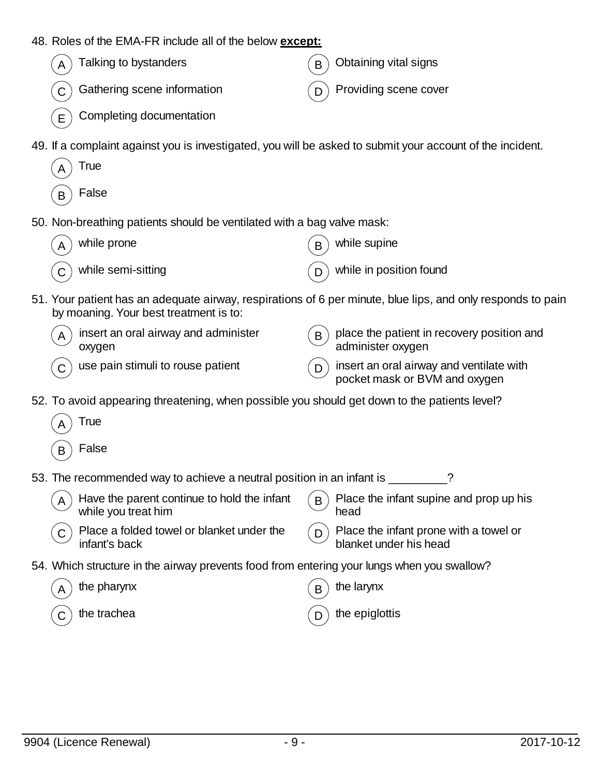| 48. Roles of the EMA-FR include all of the below except:                                                  |                                                                                                             |
|-----------------------------------------------------------------------------------------------------------|-------------------------------------------------------------------------------------------------------------|
| Talking to bystanders                                                                                     | Obtaining vital signs<br>B                                                                                  |
| Gathering scene information                                                                               | Providing scene cover<br>D                                                                                  |
| Completing documentation<br>E                                                                             |                                                                                                             |
| 49. If a complaint against you is investigated, you will be asked to submit your account of the incident. |                                                                                                             |
| <b>True</b>                                                                                               |                                                                                                             |
| False<br>B                                                                                                |                                                                                                             |
| 50. Non-breathing patients should be ventilated with a bag valve mask:                                    |                                                                                                             |
| while prone                                                                                               | while supine<br>B                                                                                           |
| while semi-sitting<br>C                                                                                   | while in position found<br>D                                                                                |
| by moaning. Your best treatment is to:                                                                    | 51. Your patient has an adequate airway, respirations of 6 per minute, blue lips, and only responds to pain |
| insert an oral airway and administer<br>oxygen                                                            | place the patient in recovery position and<br>B<br>administer oxygen                                        |
| use pain stimuli to rouse patient                                                                         | insert an oral airway and ventilate with<br>D.<br>pocket mask or BVM and oxygen                             |
| 52. To avoid appearing threatening, when possible you should get down to the patients level?              |                                                                                                             |
| True                                                                                                      |                                                                                                             |
| False<br>B                                                                                                |                                                                                                             |
| 53. The recommended way to achieve a neutral position in an infant is                                     | ?                                                                                                           |
| Have the parent continue to hold the infant<br>A<br>while you treat him                                   | Place the infant supine and prop up his<br>B<br>head                                                        |
| Place a folded towel or blanket under the<br>C<br>infant's back                                           | Place the infant prone with a towel or<br>D.<br>blanket under his head                                      |
| 54. Which structure in the airway prevents food from entering your lungs when you swallow?                |                                                                                                             |
| the pharynx<br>A                                                                                          | the larynx<br>B                                                                                             |
| the trachea                                                                                               | the epiglottis                                                                                              |
|                                                                                                           |                                                                                                             |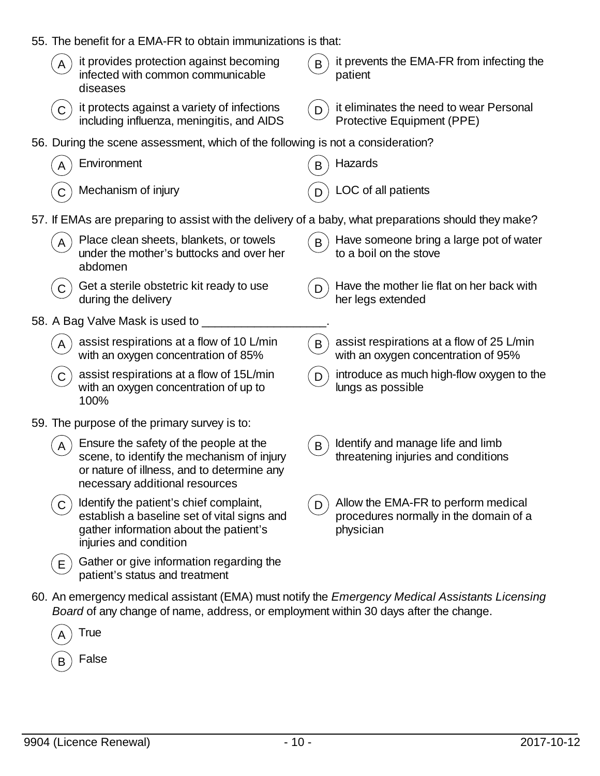| 55. The benefit for a EMA-FR to obtain immunizations is that:                                                                                                                                  |                                                                                                 |
|------------------------------------------------------------------------------------------------------------------------------------------------------------------------------------------------|-------------------------------------------------------------------------------------------------|
| it provides protection against becoming<br>A<br>infected with common communicable<br>diseases                                                                                                  | it prevents the EMA-FR from infecting the<br>B<br>patient                                       |
| it protects against a variety of infections<br>C<br>including influenza, meningitis, and AIDS                                                                                                  | it eliminates the need to wear Personal<br>D<br>Protective Equipment (PPE)                      |
| 56. During the scene assessment, which of the following is not a consideration?                                                                                                                |                                                                                                 |
| Environment                                                                                                                                                                                    | Hazards<br>B                                                                                    |
| Mechanism of injury                                                                                                                                                                            | LOC of all patients                                                                             |
| 57. If EMAs are preparing to assist with the delivery of a baby, what preparations should they make?                                                                                           |                                                                                                 |
| Place clean sheets, blankets, or towels<br>under the mother's buttocks and over her<br>abdomen                                                                                                 | Have someone bring a large pot of water<br>B<br>to a boil on the stove                          |
| Get a sterile obstetric kit ready to use<br>$\mathsf{C}$<br>during the delivery                                                                                                                | Have the mother lie flat on her back with<br>D<br>her legs extended                             |
| 58. A Bag Valve Mask is used to                                                                                                                                                                |                                                                                                 |
| assist respirations at a flow of 10 L/min<br>with an oxygen concentration of 85%                                                                                                               | assist respirations at a flow of 25 L/min<br>B<br>with an oxygen concentration of 95%           |
| assist respirations at a flow of 15L/min<br>$\mathsf C$<br>with an oxygen concentration of up to<br>100%                                                                                       | introduce as much high-flow oxygen to the<br>D<br>lungs as possible                             |
| 59. The purpose of the primary survey is to:                                                                                                                                                   |                                                                                                 |
| Ensure the safety of the people at the<br>scene, to identify the mechanism of injury<br>or nature of illness, and to determine any<br>necessary additional resources                           | Identify and manage life and limb<br>$\mathsf{B}$<br>threatening injuries and conditions        |
| Identify the patient's chief complaint,<br>C<br>establish a baseline set of vital signs and<br>gather information about the patient's<br>injuries and condition                                | Allow the EMA-FR to perform medical<br>D<br>procedures normally in the domain of a<br>physician |
| Gather or give information regarding the<br>E.<br>patient's status and treatment                                                                                                               |                                                                                                 |
| 60. An emergency medical assistant (EMA) must notify the <i>Emergency Medical Assistants Licensing</i><br>Board of any change of name, address, or employment within 30 days after the change. |                                                                                                 |
|                                                                                                                                                                                                |                                                                                                 |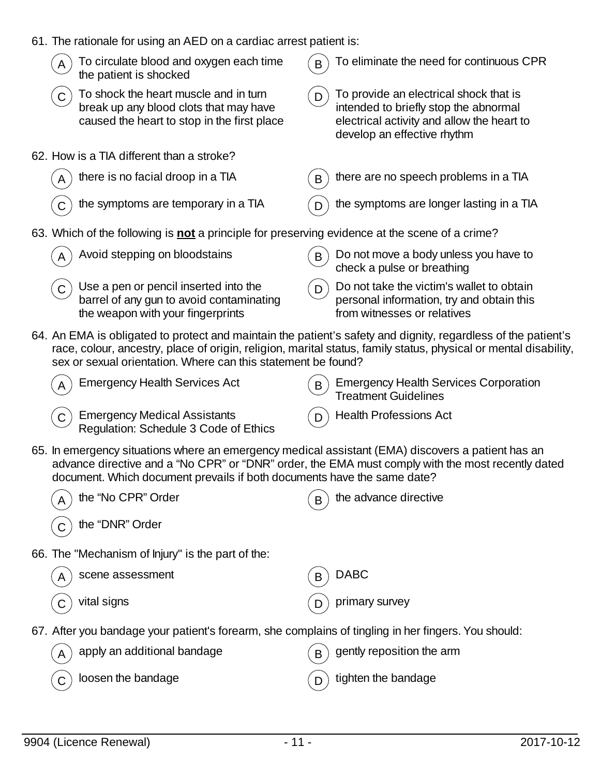|  |  |  |  | 61. The rationale for using an AED on a cardiac arrest patient is: |  |
|--|--|--|--|--------------------------------------------------------------------|--|
|--|--|--|--|--------------------------------------------------------------------|--|

|  | 01. The fationale for using an AED on a cardiac arrest patient is.                                                                                                           |   |                                                                                                                                                                                                                                   |
|--|------------------------------------------------------------------------------------------------------------------------------------------------------------------------------|---|-----------------------------------------------------------------------------------------------------------------------------------------------------------------------------------------------------------------------------------|
|  | To circulate blood and oxygen each time<br>the patient is shocked                                                                                                            | B | To eliminate the need for continuous CPR                                                                                                                                                                                          |
|  | To shock the heart muscle and in turn<br>break up any blood clots that may have<br>caused the heart to stop in the first place                                               | D | To provide an electrical shock that is<br>intended to briefly stop the abnormal<br>electrical activity and allow the heart to<br>develop an effective rhythm                                                                      |
|  | 62. How is a TIA different than a stroke?                                                                                                                                    |   |                                                                                                                                                                                                                                   |
|  | there is no facial droop in a TIA                                                                                                                                            | B | there are no speech problems in a TIA                                                                                                                                                                                             |
|  | the symptoms are temporary in a TIA                                                                                                                                          | D | the symptoms are longer lasting in a TIA                                                                                                                                                                                          |
|  | 63. Which of the following is not a principle for preserving evidence at the scene of a crime?                                                                               |   |                                                                                                                                                                                                                                   |
|  | Avoid stepping on bloodstains                                                                                                                                                | B | Do not move a body unless you have to<br>check a pulse or breathing                                                                                                                                                               |
|  | Use a pen or pencil inserted into the<br>barrel of any gun to avoid contaminating<br>the weapon with your fingerprints                                                       | D | Do not take the victim's wallet to obtain<br>personal information, try and obtain this<br>from witnesses or relatives                                                                                                             |
|  | sex or sexual orientation. Where can this statement be found?                                                                                                                |   | 64. An EMA is obligated to protect and maintain the patient's safety and dignity, regardless of the patient's<br>race, colour, ancestry, place of origin, religion, marital status, family status, physical or mental disability, |
|  | <b>Emergency Health Services Act</b>                                                                                                                                         | B | <b>Emergency Health Services Corporation</b><br><b>Treatment Guidelines</b>                                                                                                                                                       |
|  | <b>Emergency Medical Assistants</b><br>Regulation: Schedule 3 Code of Ethics                                                                                                 | D | <b>Health Professions Act</b>                                                                                                                                                                                                     |
|  | 65. In emergency situations where an emergency medical assistant (EMA) discovers a patient has an<br>document. Which document prevails if both documents have the same date? |   | advance directive and a "No CPR" or "DNR" order, the EMA must comply with the most recently dated                                                                                                                                 |
|  | the "No CPR" Order                                                                                                                                                           | B | the advance directive                                                                                                                                                                                                             |
|  | the "DNR" Order                                                                                                                                                              |   |                                                                                                                                                                                                                                   |
|  | 66. The "Mechanism of Injury" is the part of the:                                                                                                                            |   |                                                                                                                                                                                                                                   |
|  | scene assessment                                                                                                                                                             | B | <b>DABC</b>                                                                                                                                                                                                                       |
|  | vital signs                                                                                                                                                                  |   | primary survey                                                                                                                                                                                                                    |
|  | 67. After you bandage your patient's forearm, she complains of tingling in her fingers. You should:                                                                          |   |                                                                                                                                                                                                                                   |
|  | apply an additional bandage                                                                                                                                                  | В | gently reposition the arm                                                                                                                                                                                                         |
|  | loosen the bandage                                                                                                                                                           | D | tighten the bandage                                                                                                                                                                                                               |
|  |                                                                                                                                                                              |   |                                                                                                                                                                                                                                   |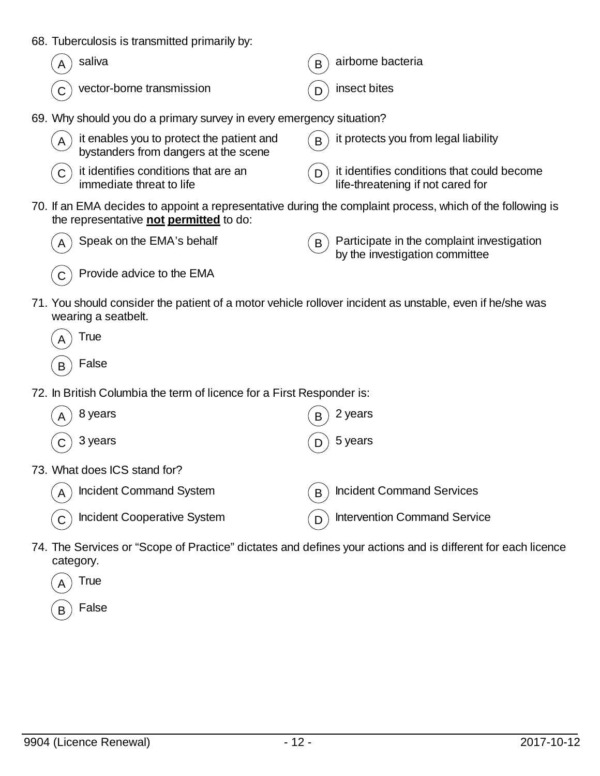68. Tuberculosis is transmitted primarily by:

| $(A)$ saliva                             | $\binom{1}{B}$ airborne bacteria |
|------------------------------------------|----------------------------------|
| $\binom{1}{C}$ vector-borne transmission | $(D)$ insect bites               |

69. Why should you do a primary survey in every emergency situation?

| A it enables you to protect the patient and<br>bystanders from dangers at the scene                                         | $(B)$ it protects you from legal liability                                            |
|-----------------------------------------------------------------------------------------------------------------------------|---------------------------------------------------------------------------------------|
| $\left( \begin{array}{c} \overline{c} \end{array} \right)$ it identifies conditions that are an<br>immediate threat to life | $(n)$ it identifies conditions that could become<br>life-threatening if not cared for |

70. If an EMA decides to appoint a representative during the complaint process, which of the following is the representative **not permitted** to do:



Speak on the EMA's behalf  $(B)$  Participate in the complaint investigation by the investigation committee



 $(C)$  Provide advice to the EMA

- 71. You should consider the patient of a motor vehicle rollover incident as unstable, even if he/she was wearing a seatbelt.
	- **True**
	- $\mathsf{B}$ ) False
- 72. In British Columbia the term of licence for a First Responder is:

| 8 years<br>A                              | 2 years<br>B                          |
|-------------------------------------------|---------------------------------------|
| 3 years<br>$\mathsf{C}$                   | 5 years                               |
| 73. What does ICS stand for?              |                                       |
| Incident Command System<br>$\overline{A}$ | <b>Incident Command Services</b><br>B |
| <b>Incident Cooperative System</b>        | <b>Intervention Command Service</b>   |

74. The Services or "Scope of Practice" dictates and defines your actions and is different for each licence category.



**False**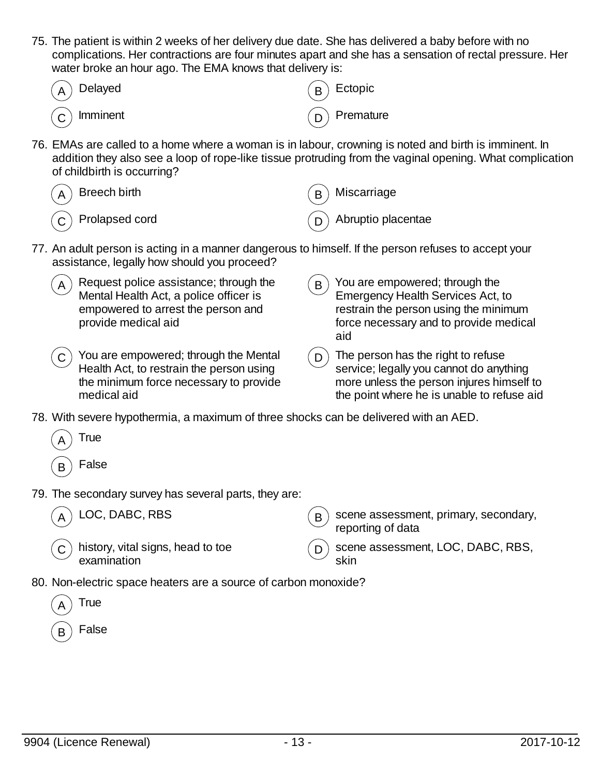75. The patient is within 2 weeks of her delivery due date. She has delivered a baby before with no complications. Her contractions are four minutes apart and she has a sensation of rectal pressure. Her water broke an hour ago. The EMA knows that delivery is:

| $\widehat{A}$ Delayed           | $\binom{B}{B}$ Ectopic |
|---------------------------------|------------------------|
| $\widehat{\mathsf{C}}$ Imminent | $\binom{1}{D}$ Premate |

**Premature** 

76. EMAs are called to a home where a woman is in labour, crowning is noted and birth is imminent. In addition they also see a loop of rope-like tissue protruding from the vaginal opening. What complication of childbirth is occurring?

| $\left(\begin{matrix}A\end{matrix}\right)$ Breech birth                        | $\binom{B}{B}$ Miscarriage        |
|--------------------------------------------------------------------------------|-----------------------------------|
| $\left(\begin{matrix} \widehat{\mathsf{C}} \end{matrix}\right)$ Prolapsed cord | $\binom{1}{D}$ Abruptio placentae |

- 77. An adult person is acting in a manner dangerous to himself. If the person refuses to accept your assistance, legally how should you proceed?
	- A Request police assistance; through the Mental Health Act, a police officer is empowered to arrest the person and provide medical aid  $\mathbf{B}$ ) You are empowered; through the Emergency Health Services Act, to restrain the person using the minimum force necessary and to provide medical aid  $\left( \mathsf{c}\right)$  You are empowered; through the Mental
		- $\mathcal{L}(\mathsf{D})$  The person has the right to refuse service; legally you cannot do anything more unless the person injures himself to the point where he is unable to refuse aid
- 78. With severe hypothermia, a maximum of three shocks can be delivered with an AED.
	- **True** False
- 79. The secondary survey has several parts, they are:

Health Act, to restrain the person using the minimum force necessary to provide

LOC, DABC, RBS  $(B)$  scene assessment, primary, secondary,

medical aid

 $\mathsf{C}$  ) history, vital signs, head to toe examination

- reporting of data scene assessment, LOC, DABC, RBS, skin
- 80. Non-electric space heaters are a source of carbon monoxide?
	- **True** False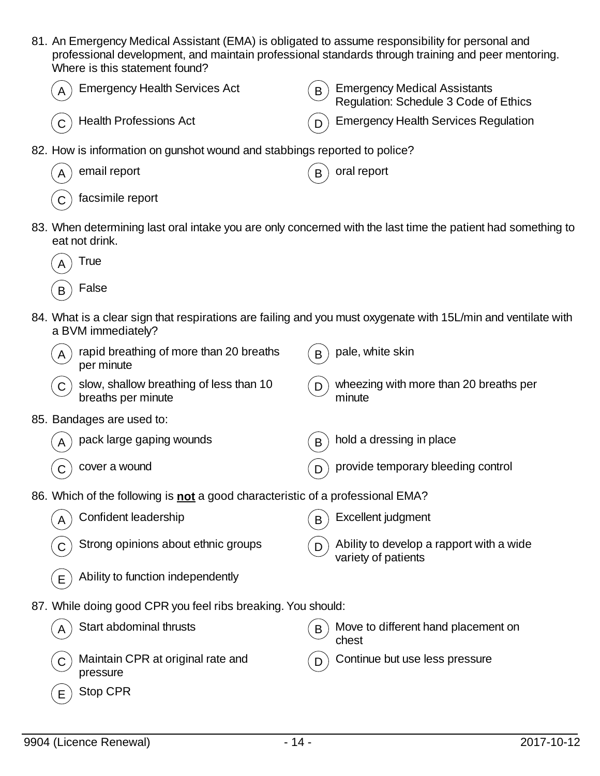- 81. An Emergency Medical Assistant (EMA) is obligated to assume responsibility for personal and professional development, and maintain professional standards through training and peer mentoring. Where is this statement found?
- Emergency Health Services Act  $(B)$  Emergency Medical Assistants Regulation: Schedule 3 Code of Ethics  $\sigma(\mathbf{C})$  Health Professions Act  $\sigma(\mathbf{D})$  Emergency Health Services Regulation 82. How is information on gunshot wound and stabbings reported to police?  $A)$  email report  $(B)$  oral report facsimile report 83. When determining last oral intake you are only concerned with the last time the patient had something to eat not drink. **True**  $_B$ ) False 84. What is a clear sign that respirations are failing and you must oxygenate with 15L/min and ventilate with a BVM immediately?  $_A$ ) rapid breathing of more than 20 breaths per minute  $B$  pale, white skin  $\sigma$ ) slow, shallow breathing of less than 10 breaths per minute  $(D)$  wheezing with more than 20 breaths per minute 85. Bandages are used to:  $(A)$  pack large gaping wounds  $(B)$  hold a dressing in place  $(C)$  cover a wound  $(D)$  provide temporary bleeding control 86. Which of the following is **not** a good characteristic of a professional EMA? Confident leadership  $(B)$  Excellent judgment  $\overline{C}$  Strong opinions about ethnic groups  $\overline{D}$  Ability to develop a rapport with a wide variety of patients  $(E)$  Ability to function independently 87. While doing good CPR you feel ribs breaking. You should:  $A \cap A$  Start abdominal thrusts  $B \cap B$  Move to different hand placement on chest Maintain CPR at original rate and pressure Continue but use less pressure  $E$  Stop CPR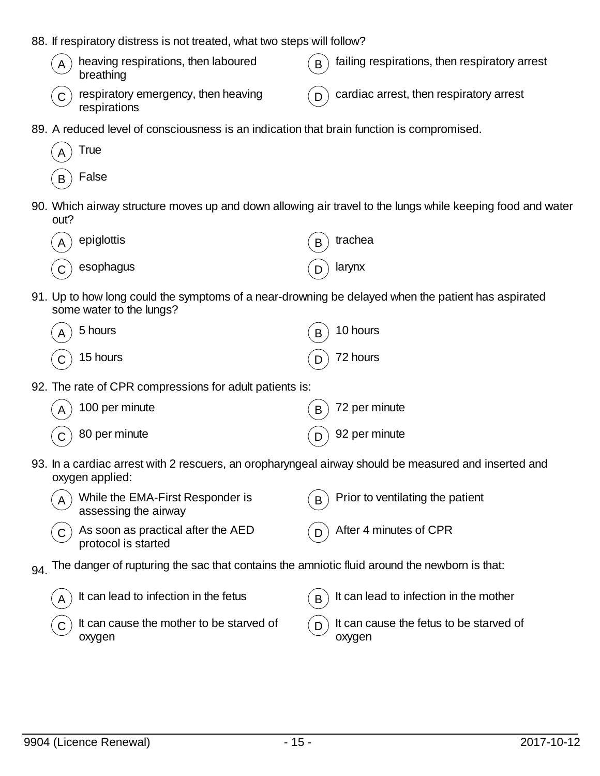- 88. If respiratory distress is not treated, what two steps will follow?
	- $\mathbf{A}$  heaving respirations, then laboured breathing  $\mathbf{B}$ ) failing respirations, then respiratory arrest  $C$ ) respiratory emergency, then heaving  $(D)$  cardiac arrest, then respiratory arrest
- 89. A reduced level of consciousness is an indication that brain function is compromised.



respirations

90. Which airway structure moves up and down allowing air travel to the lungs while keeping food and water out?

| $(A)$ epiglottis        | $(B)$ trachea |
|-------------------------|---------------|
| $\widehat{C}$ esophagus | $(D)$ larynx  |

91. Up to how long could the symptoms of a near-drowning be delayed when the patient has aspirated some water to the lungs?

| $\binom{1}{A}$ 5 hours                                | $\binom{1}{B}$ 10 hours |
|-------------------------------------------------------|-------------------------|
| $\left(\begin{matrix} 1 \end{matrix}\right)$ 15 hours | $\binom{1}{D}$ 72 hours |

92. The rate of CPR compressions for adult patients is:

| $\binom{100}{4}$ 100 per minute                                 | $\binom{1}{\mathsf{B}}$ 72 per minute                    |
|-----------------------------------------------------------------|----------------------------------------------------------|
| $\left(\begin{matrix} 1 \\ 0 \end{matrix}\right)$ 80 per minute | $\left(\begin{matrix}D\end{matrix}\right)$ 92 per minute |

93. In a cardiac arrest with 2 rescuers, an oropharyngeal airway should be measured and inserted and oxygen applied:

| $\tilde{A}$ While the EMA-First Responder is<br>$\overline{\mathcal{L}}$ assessing the airway | $(B)$ Prior to ventilating the patient |
|-----------------------------------------------------------------------------------------------|----------------------------------------|
| $\overline{C}$ As soon as practical after the AED<br>protocol is started                      | $(p)$ After 4 minutes of CPR           |

 $94.$  The danger of rupturing the sac that contains the amniotic fluid around the newborn is that:

| $\mathcal{A}$ It can lead to infection in the fetus                | $\mathbf{B}$ it can lead to infection in the mother    |
|--------------------------------------------------------------------|--------------------------------------------------------|
| $\mathcal{L}(\mathbf{C})$ It can cause the mother to be starved of | $\binom{1}{D}$ It can cause the fetus to be starved of |
| oxygen                                                             | oxvaen                                                 |